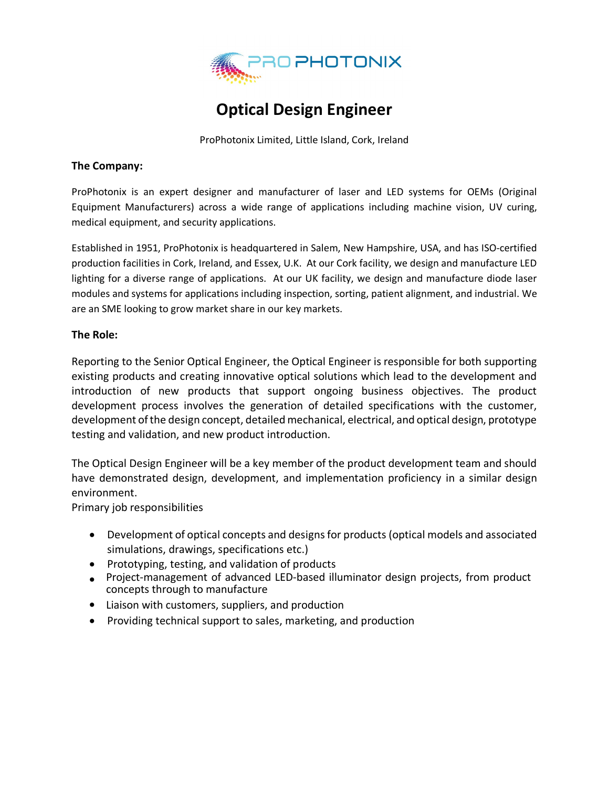

# **Optical Design Engineer**

ProPhotonix Limited, Little Island, Cork, Ireland

#### **The Company:**

ProPhotonix is an expert designer and manufacturer of laser and LED systems for OEMs (Original Equipment Manufacturers) across a wide range of applications including machine vision, UV curing, medical equipment, and security applications.

Established in 1951, ProPhotonix is headquartered in Salem, New Hampshire, USA, and has ISO-certified production facilities in Cork, Ireland, and Essex, U.K. At our Cork facility, we design and manufacture LED lighting for a diverse range of applications. At our UK facility, we design and manufacture diode laser modules and systems for applications including inspection, sorting, patient alignment, and industrial. We are an SME looking to grow market share in our key markets.

### **The Role:**

Reporting to the Senior Optical Engineer, the Optical Engineer is responsible for both supporting existing products and creating innovative optical solutions which lead to the development and introduction of new products that support ongoing business objectives. The product development process involves the generation of detailed specifications with the customer, development of the design concept, detailed mechanical, electrical, and optical design, prototype testing and validation, and new product introduction.

The Optical Design Engineer will be a key member of the product development team and should have demonstrated design, development, and implementation proficiency in a similar design environment.

Primary job responsibilities

- Development of optical concepts and designs for products (optical models and associated simulations, drawings, specifications etc.)
- Prototyping, testing, and validation of products
- Project-management of advanced LED-based illuminator design projects, from product concepts through to manufacture
- Liaison with customers, suppliers, and production
- Providing technical support to sales, marketing, and production